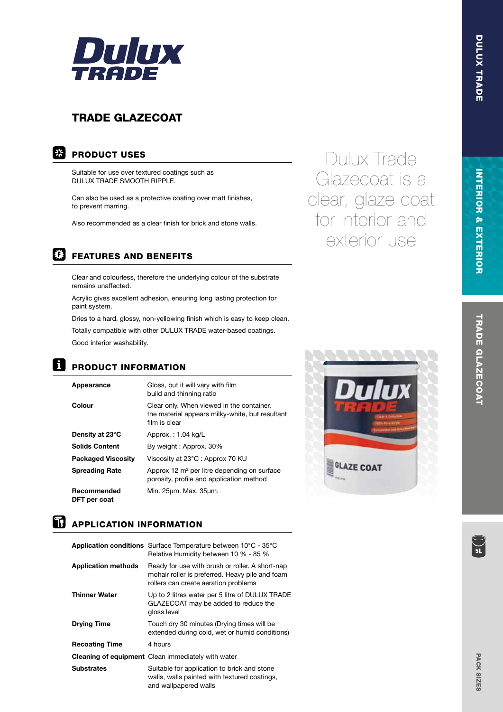

## TRADE GLAZECOAT

### **EXPRODUCT USES**

Suitable for use over textured coatings such as DULUX TRADE SMOOTH RIPPLE.

Can also be used as a protective coating over matt finishes, to prevent marring.

Also recommended as a clear finish for brick and stone walls.



### FEATURES AND BENEFITS

Clear and colourless, therefore the underlying colour of the substrate remains unaffected.

Acrylic gives excellent adhesion, ensuring long lasting protection for paint system.

Dries to a hard, glossy, non-yellowing finish which is easy to keep clean.

Totally compatible with other DULUX TRADE water-based coatings. Good interior washability.

## **El PRODUCT INFORMATION**

| Appearance                | Gloss, but it will vary with film<br>build and thinning ratio                                                 |
|---------------------------|---------------------------------------------------------------------------------------------------------------|
| Colour                    | Clear only. When viewed in the container,<br>the material appears milky-white, but resultant<br>film is clear |
| Density at 23°C           | Approx.: 1.04 kg/L                                                                                            |
| <b>Solids Content</b>     | By weight: Approx. 30%                                                                                        |
| <b>Packaged Viscosity</b> | Viscosity at 23°C : Approx 70 KU                                                                              |
| <b>Spreading Rate</b>     | Approx 12 m <sup>2</sup> per litre depending on surface<br>porosity, profile and application method           |
| Recommended               | Min. 25um. Max. 35um.                                                                                         |

# DFT per coat **APPLICATION INFORMATION**

|                            | <b>Application conditions</b> Surface Temperature between $10^{\circ}$ C - $35^{\circ}$ C<br>Relative Humidity between 10 % - 85 %         |
|----------------------------|--------------------------------------------------------------------------------------------------------------------------------------------|
| <b>Application methods</b> | Ready for use with brush or roller. A short-nap<br>mohair roller is preferred. Heavy pile and foam<br>rollers can create aeration problems |
| <b>Thinner Water</b>       | Up to 2 litres water per 5 litre of DULUX TRADE<br>GLAZECOAT may be added to reduce the<br>gloss level                                     |
| <b>Drying Time</b>         | Touch dry 30 minutes (Drying times will be<br>extended during cold, wet or humid conditions)                                               |
| <b>Recoating Time</b>      | 4 hours                                                                                                                                    |
|                            | <b>Cleaning of equipment</b> Clean immediately with water                                                                                  |
| <b>Substrates</b>          | Suitable for application to brick and stone<br>walls, walls painted with textured coatings,<br>and wallpapered walls                       |

Dulux Trade Glazecoat is a clear, glaze coat for interior and exterior use